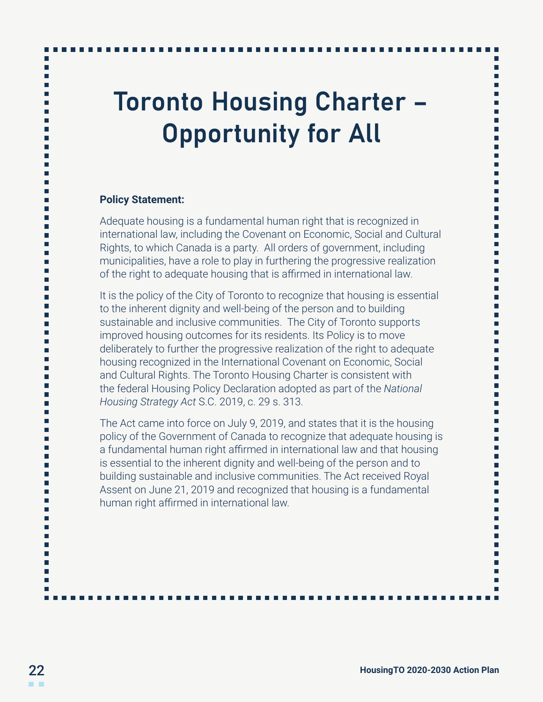# Toronto Housing Charter – Opportunity for All

### **Policy Statement:**

Adequate housing is a fundamental human right that is recognized in international law, including the Covenant on Economic, Social and Cultural Rights, to which Canada is a party. All orders of government, including municipalities, have a role to play in furthering the progressive realization of the right to adequate housing that is affirmed in international law.

It is the policy of the City of Toronto to recognize that housing is essential to the inherent dignity and well-being of the person and to building sustainable and inclusive communities. The City of Toronto supports improved housing outcomes for its residents. Its Policy is to move deliberately to further the progressive realization of the right to adequate housing recognized in the International Covenant on Economic, Social and Cultural Rights. The Toronto Housing Charter is consistent with the federal Housing Policy Declaration adopted as part of the *National Housing Strategy Act* S.C. 2019, c. 29 s. 313.

The Act came into force on July 9, 2019, and states that it is the housing policy of the Government of Canada to recognize that adequate housing is a fundamental human right affirmed in international law and that housing is essential to the inherent dignity and well-being of the person and to building sustainable and inclusive communities. The Act received Royal Assent on June 21, 2019 and recognized that housing is a fundamental human right affirmed in international law.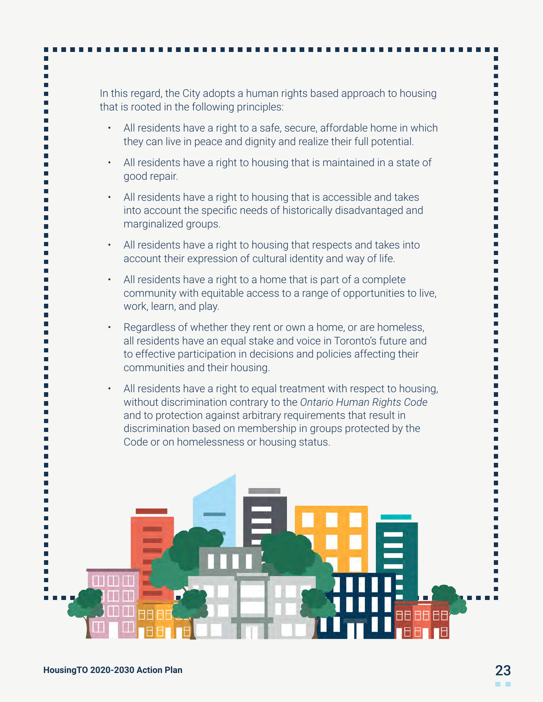## In this regard, the City adopts a human rights based approach to housing that is rooted in the following principles:

- All residents have a right to a safe, secure, affordable home in which they can live in peace and dignity and realize their full potential.
- All residents have a right to housing that is maintained in a state of good repair.
- All residents have a right to housing that is accessible and takes into account the specific needs of historically disadvantaged and marginalized groups.
- All residents have a right to housing that respects and takes into account their expression of cultural identity and way of life.
- All residents have a right to a home that is part of a complete community with equitable access to a range of opportunities to live, work, learn, and play.
- Regardless of whether they rent or own a home, or are homeless, all residents have an equal stake and voice in Toronto's future and to effective participation in decisions and policies affecting their communities and their housing.
- All residents have a right to equal treatment with respect to housing, without discrimination contrary to the *Ontario Human Rights Code* and to protection against arbitrary requirements that result in discrimination based on membership in groups protected by the Code or on homelessness or housing status.

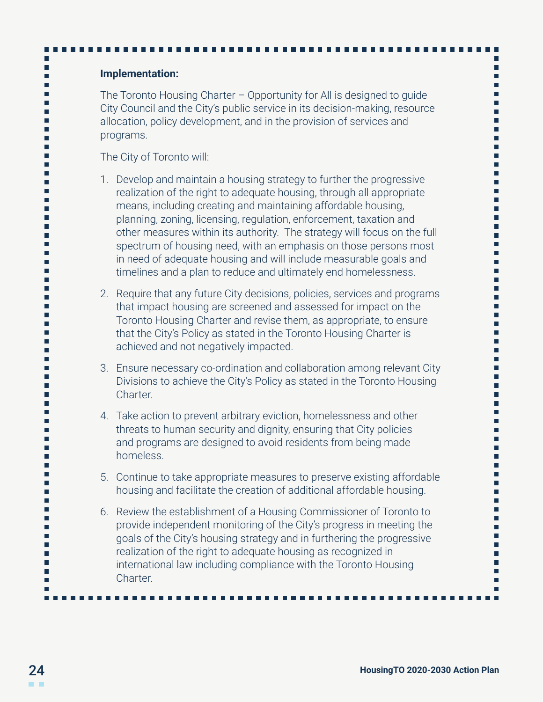### **Implementation:**

п

The Toronto Housing Charter – Opportunity for All is designed to guide City Council and the City's public service in its decision-making, resource allocation, policy development, and in the provision of services and programs.

The City of Toronto will:

- 1. Develop and maintain a housing strategy to further the progressive realization of the right to adequate housing, through all appropriate means, including creating and maintaining affordable housing, planning, zoning, licensing, regulation, enforcement, taxation and other measures within its authority. The strategy will focus on the full spectrum of housing need, with an emphasis on those persons most in need of adequate housing and will include measurable goals and timelines and a plan to reduce and ultimately end homelessness.
- 2. Require that any future City decisions, policies, services and programs that impact housing are screened and assessed for impact on the Toronto Housing Charter and revise them, as appropriate, to ensure that the City's Policy as stated in the Toronto Housing Charter is achieved and not negatively impacted.
- 3. Ensure necessary co-ordination and collaboration among relevant City Divisions to achieve the City's Policy as stated in the Toronto Housing Charter.
- 4. Take action to prevent arbitrary eviction, homelessness and other threats to human security and dignity, ensuring that City policies and programs are designed to avoid residents from being made homeless.
- 5. Continue to take appropriate measures to preserve existing affordable housing and facilitate the creation of additional affordable housing.
- 6. Review the establishment of a Housing Commissioner of Toronto to provide independent monitoring of the City's progress in meeting the goals of the City's housing strategy and in furthering the progressive realization of the right to adequate housing as recognized in international law including compliance with the Toronto Housing **Charter**

г г

г г

> г г

> г

г

г

г п

г г

г

г

г п